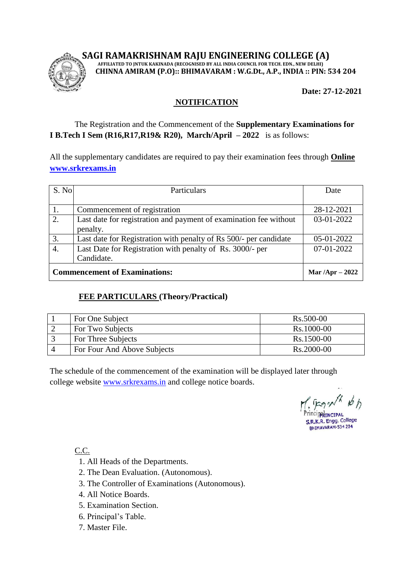## **SAGI RAMAKRISHNAM RAJU ENGINEERING COLLEGE (A)**



 **AFFILIATED TO JNTUK KAKINADA (RECOGNISED BY ALL INDIA COUNCIL FOR TECH. EDN., NEW DELHI) CHINNA AMIRAM (P.O):: BHIMAVARAM : W.G.Dt., A.P., INDIA :: PIN: 534 204**

 **Date: 27-12-2021**

## **NOTIFICATION**

### The Registration and the Commencement of the **Supplementary Examinations for I B.Tech I Sem (R16,R17,R19& R20), March/April – 2022** is as follows:

All the supplementary candidates are required to pay their examination fees through **Online [www.srkrexams.in](http://www.srkrexams.in/)**

| S. No                                | Particulars                                                       | Date              |
|--------------------------------------|-------------------------------------------------------------------|-------------------|
|                                      |                                                                   |                   |
|                                      | Commencement of registration                                      | 28-12-2021        |
| 2.                                   | Last date for registration and payment of examination fee without | 03-01-2022        |
|                                      | penalty.                                                          |                   |
| 3.                                   | Last date for Registration with penalty of Rs 500/- per candidate | 05-01-2022        |
| $\overline{4}$ .                     | Last Date for Registration with penalty of Rs. 3000/- per         | 07-01-2022        |
|                                      | Candidate.                                                        |                   |
| <b>Commencement of Examinations:</b> |                                                                   | Mar $/Apr - 2022$ |

#### **FEE PARTICULARS (Theory/Practical)**

| For One Subject             | Rs.500-00  |
|-----------------------------|------------|
| For Two Subjects            | Rs.1000-00 |
| For Three Subjects          | Rs.1500-00 |
| For Four And Above Subjects | Rs.2000-00 |

The schedule of the commencement of the examination will be displayed later through college website [www.srkrexams.in](http://www.srkrexams.in/) and college notice boards.

**ncipatinCIPAL** R.K.R. Engg. College BHIMAVARAM-534 204

C.C.

- 1. All Heads of the Departments.
- 2. The Dean Evaluation. (Autonomous).
- 3. The Controller of Examinations (Autonomous).
- 4. All Notice Boards.
- 5. Examination Section.
- 6. Principal's Table.
- 7. Master File.